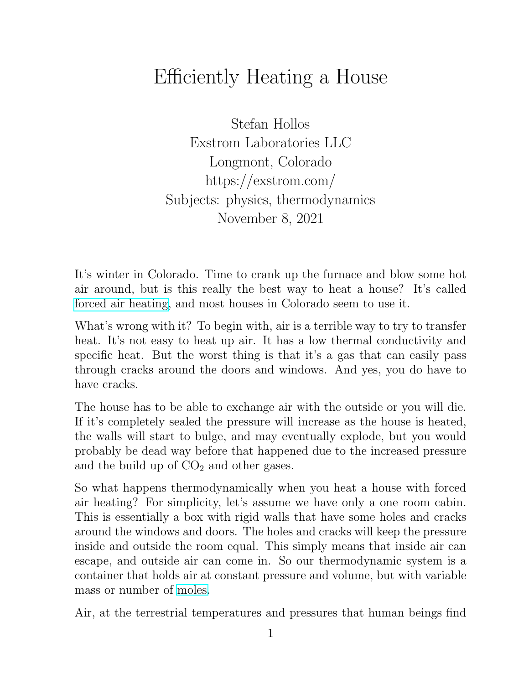## Efficiently Heating a House

Stefan Hollos Exstrom Laboratories LLC Longmont, Colorado https://exstrom.com/ Subjects: physics, thermodynamics November 8, 2021

It's winter in Colorado. Time to crank up the furnace and blow some hot air around, but is this really the best way to heat a house? It's called [forced air heating,](https://en.wikipedia.org/wiki/Forced-air) and most houses in Colorado seem to use it.

What's wrong with it? To begin with, air is a terrible way to try to transfer heat. It's not easy to heat up air. It has a low thermal conductivity and specific heat. But the worst thing is that it's a gas that can easily pass through cracks around the doors and windows. And yes, you do have to have cracks.

The house has to be able to exchange air with the outside or you will die. If it's completely sealed the pressure will increase as the house is heated, the walls will start to bulge, and may eventually explode, but you would probably be dead way before that happened due to the increased pressure and the build up of  $CO<sub>2</sub>$  and other gases.

So what happens thermodynamically when you heat a house with forced air heating? For simplicity, let's assume we have only a one room cabin. This is essentially a box with rigid walls that have some holes and cracks around the windows and doors. The holes and cracks will keep the pressure inside and outside the room equal. This simply means that inside air can escape, and outside air can come in. So our thermodynamic system is a container that holds air at constant pressure and volume, but with variable mass or number of [moles.](https://en.wikipedia.org/wiki/Mole_(unit))

Air, at the terrestrial temperatures and pressures that human beings find